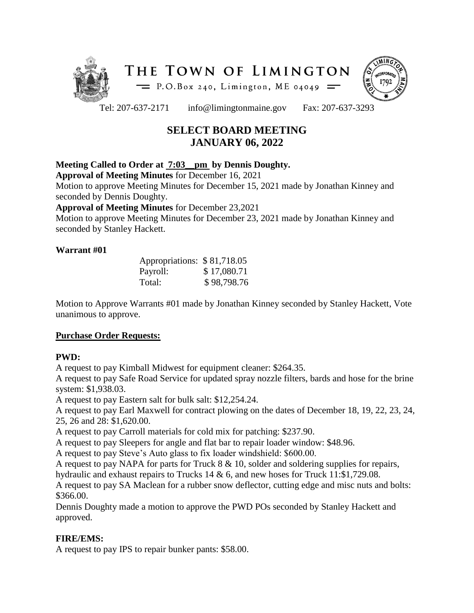



Tel: 207-637-2171 info@limingtonmaine.gov Fax: 207-637-3293

# **SELECT BOARD MEETING JANUARY 06, 2022**

## **Meeting Called to Order at 7:03\_\_pm by Dennis Doughty.**

**Approval of Meeting Minutes** for December 16, 2021

Motion to approve Meeting Minutes for December 15, 2021 made by Jonathan Kinney and seconded by Dennis Doughty.

#### **Approval of Meeting Minutes** for December 23,2021

Motion to approve Meeting Minutes for December 23, 2021 made by Jonathan Kinney and seconded by Stanley Hackett.

## **Warrant #01**

| Appropriations: \$81,718.05 |             |
|-----------------------------|-------------|
| Payroll:                    | \$17,080.71 |
| Total:                      | \$98,798.76 |

Motion to Approve Warrants #01 made by Jonathan Kinney seconded by Stanley Hackett, Vote unanimous to approve.

## **Purchase Order Requests:**

## **PWD:**

A request to pay Kimball Midwest for equipment cleaner: \$264.35.

A request to pay Safe Road Service for updated spray nozzle filters, bards and hose for the brine system: \$1,938.03.

A request to pay Eastern salt for bulk salt: \$12,254.24.

A request to pay Earl Maxwell for contract plowing on the dates of December 18, 19, 22, 23, 24, 25, 26 and 28: \$1,620.00.

A request to pay Carroll materials for cold mix for patching: \$237.90.

A request to pay Sleepers for angle and flat bar to repair loader window: \$48.96.

A request to pay Steve's Auto glass to fix loader windshield: \$600.00.

A request to pay NAPA for parts for Truck 8 & 10, solder and soldering supplies for repairs,

hydraulic and exhaust repairs to Trucks 14 & 6, and new hoses for Truck 11:\$1,729.08.

A request to pay SA Maclean for a rubber snow deflector, cutting edge and misc nuts and bolts: \$366.00.

Dennis Doughty made a motion to approve the PWD POs seconded by Stanley Hackett and approved.

## **FIRE/EMS:**

A request to pay IPS to repair bunker pants: \$58.00.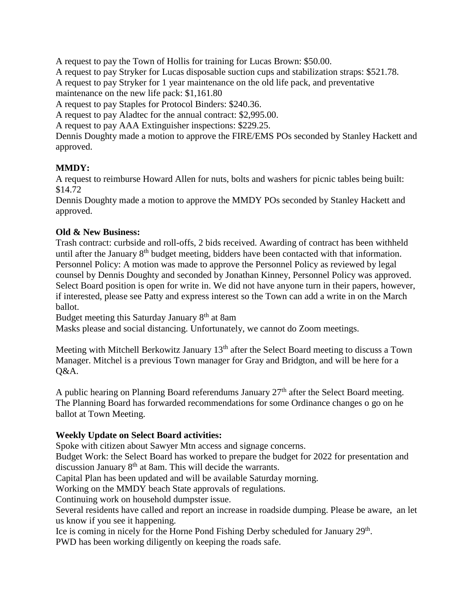A request to pay the Town of Hollis for training for Lucas Brown: \$50.00.

A request to pay Stryker for Lucas disposable suction cups and stabilization straps: \$521.78.

A request to pay Stryker for 1 year maintenance on the old life pack, and preventative

maintenance on the new life pack: \$1,161.80

A request to pay Staples for Protocol Binders: \$240.36.

A request to pay Aladtec for the annual contract: \$2,995.00.

A request to pay AAA Extinguisher inspections: \$229.25.

Dennis Doughty made a motion to approve the FIRE/EMS POs seconded by Stanley Hackett and approved.

## **MMDY:**

A request to reimburse Howard Allen for nuts, bolts and washers for picnic tables being built: \$14.72

Dennis Doughty made a motion to approve the MMDY POs seconded by Stanley Hackett and approved.

## **Old & New Business:**

Trash contract: curbside and roll-offs, 2 bids received. Awarding of contract has been withheld until after the January 8<sup>th</sup> budget meeting, bidders have been contacted with that information. Personnel Policy: A motion was made to approve the Personnel Policy as reviewed by legal counsel by Dennis Doughty and seconded by Jonathan Kinney, Personnel Policy was approved. Select Board position is open for write in. We did not have anyone turn in their papers, however, if interested, please see Patty and express interest so the Town can add a write in on the March ballot.

Budget meeting this Saturday January 8<sup>th</sup> at 8am

Masks please and social distancing. Unfortunately, we cannot do Zoom meetings.

Meeting with Mitchell Berkowitz January 13<sup>th</sup> after the Select Board meeting to discuss a Town Manager. Mitchel is a previous Town manager for Gray and Bridgton, and will be here for a Q&A.

A public hearing on Planning Board referendums January  $27<sup>th</sup>$  after the Select Board meeting. The Planning Board has forwarded recommendations for some Ordinance changes o go on he ballot at Town Meeting.

## **Weekly Update on Select Board activities:**

Spoke with citizen about Sawyer Mtn access and signage concerns.

Budget Work: the Select Board has worked to prepare the budget for 2022 for presentation and discussion January 8<sup>th</sup> at 8am. This will decide the warrants.

Capital Plan has been updated and will be available Saturday morning.

Working on the MMDY beach State approvals of regulations.

Continuing work on household dumpster issue.

Several residents have called and report an increase in roadside dumping. Please be aware, an let us know if you see it happening.

Ice is coming in nicely for the Horne Pond Fishing Derby scheduled for January 29<sup>th</sup>.

PWD has been working diligently on keeping the roads safe.